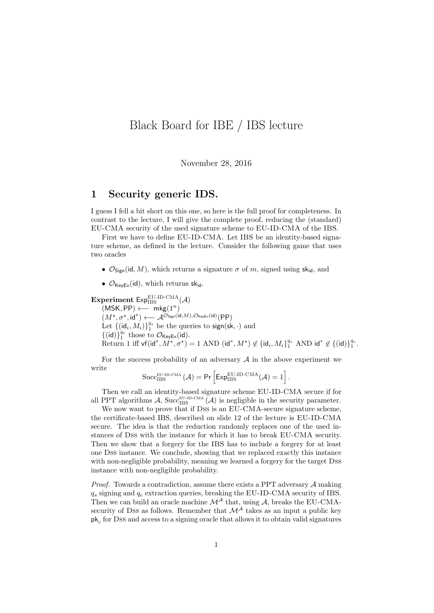# Black Board for IBE / IBS lecture

November 28, 2016

### 1 Security generic IDS.

I guess I fell a bit short on this one, so here is the full proof for completeness. In contrast to the lecture, I will give the complete proof, reducing the (standard) EU-CMA security of the used signature scheme to EU-ID-CMA of the IBS.

First we have to define EU-ID-CMA. Let IBS be an identity-based signature scheme, as defined in the lecture. Consider the following game that uses two oracles

- $\mathcal{O}_{\text{Sion}}(\text{id}, M)$ , which returns a signature  $\sigma$  of m, signed using sk<sub>id</sub>, and
- $\mathcal{O}_{\text{KevEx}}(\text{id})$ , which returns sk<sub>id</sub>.

Experiment  $Exp_{IBS}^{EU-ID-CMA}(\mathcal{A})$ 

 $(MSK, PP) \longleftarrow mkg(1^n)$  $(M^{\star}, \sigma^{\star}, \mathsf{id}^{\ast}) \longleftarrow \mathcal{A}^{\mathcal{O}_{\mathsf{Sign}}(\mathsf{id}, M), \mathcal{O}_{\mathsf{KeyEx}}(\mathsf{id})}(\mathsf{PP})$ Let  $\{(\mathrm{id}_i, M_i)\}_1^{q_s}$  be the queries to sign(sk,  $\cdot$ ) and  $\{(\mathsf{id})\}_1^{q_e}$  those to  $\mathcal{O}_{\mathsf{KeyEx}}(\mathsf{id})$ . Return 1 iff vf(id<sup>\*</sup>,  $M^{\star}$ ,  $\sigma^{\star}$ ) = 1 AND (id<sup>\*</sup>,  $M^{\star}$ )  $\notin$  {id<sub>i</sub>,  $M_i$ }<sup>q<sub>s</sub></sup> AND id<sup>\*</sup>  $\notin$  {(id)}<sup>q<sub>c</sub></sup>.

For the success probability of an adversary  $A$  in the above experiment we write

$$
\mathrm{Succ}_{\mathrm{IBS}}^{\mathrm{EU\text{-}ID\text{-}CMA}}\left(\mathcal{A}\right)=\mathsf{Pr}\left[\mathsf{Exp}_{\mathrm{IBS}}^{\mathrm{EU\text{-}ID\text{-}CMA}}(\mathcal{A})=1\right].
$$

Then we call an identity-based signature scheme EU-ID-CMA secure if for all PPT algorithms A, Succ<sub>IBS</sub> (A) is negligible in the security parameter.

We now want to prove that if Dss is an EU-CMA-secure signature scheme, the certificate-based IBS, described on slide 12 of the lecture is EU-ID-CMA secure. The idea is that the reduction randomly replaces one of the used instances of Dss with the instance for which it has to break EU-CMA security. Then we show that a forgery for the IBS has to include a forgery for at least one Dss instance. We conclude, showing that we replaced exactly this instance with non-negligible probability, meaning we learned a forgery for the target Dss instance with non-negligible probability.

*Proof.* Towards a contradiction, assume there exists a PPT adversary  $A$  making  $q_s$  signing and  $q_e$  extraction queries, breaking the EU-ID-CMA security of IBS. Then we can build an oracle machine  $\mathcal{M}^{\mathcal{A}}$  that, using  $\mathcal{A}$ , breaks the EU-CMAsecurity of Dss as follows. Remember that  $\mathcal{M}^{\mathcal{A}}$  takes as an input a public key  $\mathsf{pk}_c$  for Dss and access to a signing oracle that allows it to obtain valid signatures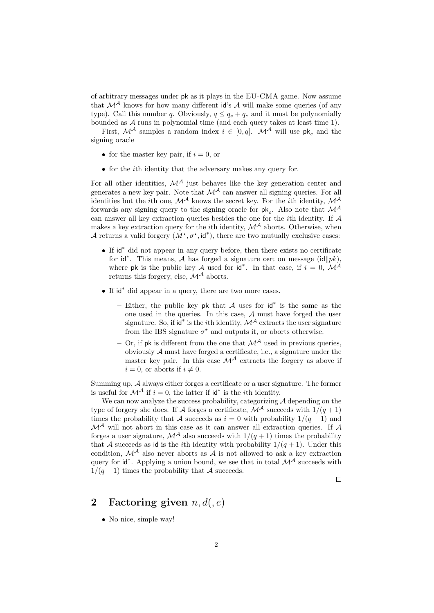of arbitrary messages under pk as it plays in the EU-CMA game. Now assume that  $\mathcal{M}^{\mathcal{A}}$  knows for how many different id's  $\mathcal{A}$  will make some queries (of any type). Call this number q. Obviously,  $q \leq q_s + q_e$  and it must be polynomially bounded as  $A$  runs in polynomial time (and each query takes at least time 1).

First,  $\mathcal{M}^{\mathcal{A}}$  samples a random index  $i \in [0, q]$ .  $\mathcal{M}^{\mathcal{A}}$  will use pk<sub>c</sub> and the signing oracle

- for the master key pair, if  $i = 0$ , or
- for the *i*th identity that the adversary makes any query for.

For all other identities,  $\mathcal{M}^{\mathcal{A}}$  just behaves like the key generation center and generates a new key pair. Note that  $\mathcal{M}^{\mathcal{A}}$  can answer all signing queries. For all identities but the *i*th one,  $\mathcal{M}^{\mathcal{A}}$  knows the secret key. For the *i*th identity,  $\mathcal{M}^{\mathcal{A}}$ forwards any signing query to the signing oracle for  $pk_c$ . Also note that  $\mathcal{M}^{\mathcal{A}}$ can answer all key extraction queries besides the one for the *i*th identity. If  $A$ makes a key extraction query for the *i*th identity,  $\mathcal{M}^{\mathcal{A}}$  aborts. Otherwise, when A returns a valid forgery  $(M^*, \sigma^*, id^*)$ , there are two mutually exclusive cases:

- If id<sup>∗</sup> did not appear in any query before, then there exists no certificate for id<sup>\*</sup>. This means, A has forged a signature cert on message (id $||pk$ ), where pk is the public key A used for  $id^*$ . In that case, if  $i = 0$ ,  $\mathcal{M}^{\mathcal{A}}$ returns this forgery, else,  $\mathcal{M}^{\mathcal{A}}$  aborts.
- If id<sup>∗</sup> did appear in a query, there are two more cases.
	- Either, the public key pk that  $A$  uses for  $\mathsf{id}^*$  is the same as the one used in the queries. In this case, A must have forged the user signature. So, if  $id^*$  is the *i*th identity,  $\mathcal{M}^{\mathcal{A}}$  extracts the user signature from the IBS signature  $\sigma^*$  and outputs it, or aborts otherwise.
	- Or, if pk is different from the one that  $\mathcal{M}^{\mathcal{A}}$  used in previous queries, obviously  $A$  must have forged a certificate, i.e., a signature under the master key pair. In this case  $\mathcal{M}^{\mathcal{A}}$  extracts the forgery as above if  $i = 0$ , or aborts if  $i \neq 0$ .

Summing up, A always either forges a certificate or a user signature. The former is useful for  $\mathcal{M}^{\mathcal{A}}$  if  $i=0$ , the latter if  $\mathsf{id}^*$  is the *i*th identity.

We can now analyze the success probability, categorizing  $A$  depending on the type of forgery she does. If A forges a certificate,  $\mathcal{M}^{\mathcal{A}}$  succeeds with  $1/(q+1)$ times the probability that A succeeds as  $i = 0$  with probability  $1/(q + 1)$  and  $\mathcal{M}^{\mathcal{A}}$  will not abort in this case as it can answer all extraction queries. If  $\mathcal{A}$ forges a user signature,  $\mathcal{M}^{\mathcal{A}}$  also succeeds with  $1/(q+1)$  times the probability that A succeeds as id is the *i*th identity with probability  $1/(q+1)$ . Under this condition,  $\mathcal{M}^{\mathcal{A}}$  also never aborts as  $\mathcal{A}$  is not allowed to ask a key extraction query for  $id^*$ . Applying a union bound, we see that in total  $\mathcal{M}^{\mathcal{A}}$  succeeds with  $1/(q+1)$  times the probability that A succeeds.

#### $\Box$

## 2 Factoring given  $n, d(0, e)$

• No nice, simple way!